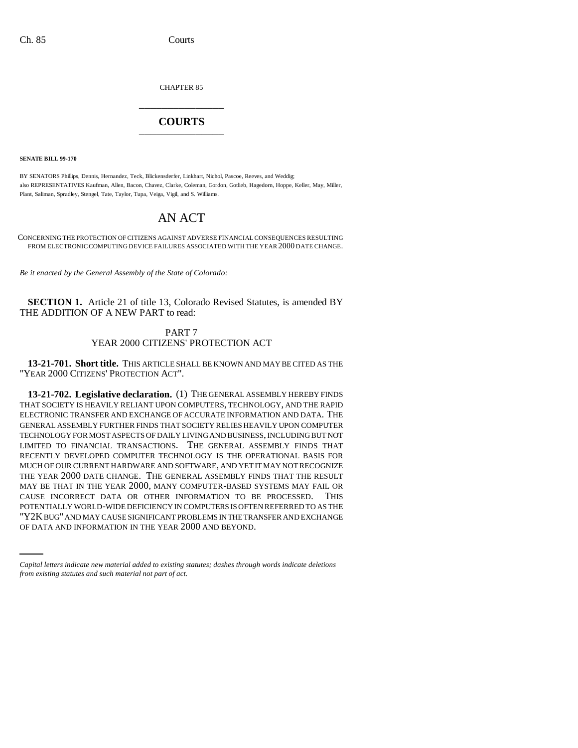CHAPTER 85 \_\_\_\_\_\_\_\_\_\_\_\_\_\_\_

## **COURTS** \_\_\_\_\_\_\_\_\_\_\_\_\_\_\_

**SENATE BILL 99-170**

BY SENATORS Phillips, Dennis, Hernandez, Teck, Blickensderfer, Linkhart, Nichol, Pascoe, Reeves, and Weddig; also REPRESENTATIVES Kaufman, Allen, Bacon, Chavez, Clarke, Coleman, Gordon, Gotlieb, Hagedorn, Hoppe, Keller, May, Miller, Plant, Saliman, Spradley, Stengel, Tate, Taylor, Tupa, Veiga, Vigil, and S. Williams.

# AN ACT

CONCERNING THE PROTECTION OF CITIZENS AGAINST ADVERSE FINANCIAL CONSEQUENCES RESULTING FROM ELECTRONIC COMPUTING DEVICE FAILURES ASSOCIATED WITH THE YEAR 2000 DATE CHANGE.

*Be it enacted by the General Assembly of the State of Colorado:*

**SECTION 1.** Article 21 of title 13, Colorado Revised Statutes, is amended BY THE ADDITION OF A NEW PART to read:

### PART 7 YEAR 2000 CITIZENS' PROTECTION ACT

**13-21-701. Short title.** THIS ARTICLE SHALL BE KNOWN AND MAY BE CITED AS THE "YEAR 2000 CITIZENS' PROTECTION ACT".

POTENTIALLY WORLD-WIDE DEFICIENCY IN COMPUTERS IS OFTEN REFERRED TO AS THE **13-21-702. Legislative declaration.** (1) THE GENERAL ASSEMBLY HEREBY FINDS THAT SOCIETY IS HEAVILY RELIANT UPON COMPUTERS, TECHNOLOGY, AND THE RAPID ELECTRONIC TRANSFER AND EXCHANGE OF ACCURATE INFORMATION AND DATA. THE GENERAL ASSEMBLY FURTHER FINDS THAT SOCIETY RELIES HEAVILY UPON COMPUTER TECHNOLOGY FOR MOST ASPECTS OF DAILY LIVING AND BUSINESS, INCLUDING BUT NOT LIMITED TO FINANCIAL TRANSACTIONS. THE GENERAL ASSEMBLY FINDS THAT RECENTLY DEVELOPED COMPUTER TECHNOLOGY IS THE OPERATIONAL BASIS FOR MUCH OF OUR CURRENT HARDWARE AND SOFTWARE, AND YET IT MAY NOT RECOGNIZE THE YEAR 2000 DATE CHANGE. THE GENERAL ASSEMBLY FINDS THAT THE RESULT MAY BE THAT IN THE YEAR 2000, MANY COMPUTER-BASED SYSTEMS MAY FAIL OR CAUSE INCORRECT DATA OR OTHER INFORMATION TO BE PROCESSED. THIS "Y2K BUG" AND MAY CAUSE SIGNIFICANT PROBLEMS IN THE TRANSFER AND EXCHANGE OF DATA AND INFORMATION IN THE YEAR 2000 AND BEYOND.

*Capital letters indicate new material added to existing statutes; dashes through words indicate deletions from existing statutes and such material not part of act.*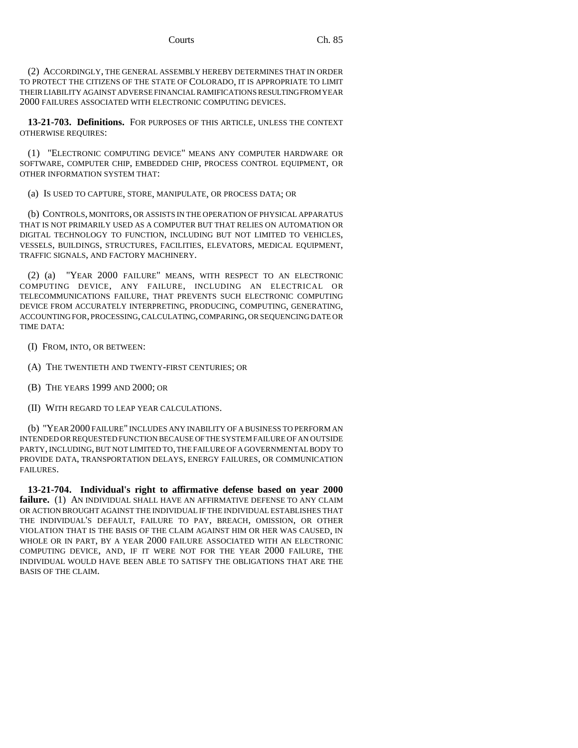(2) ACCORDINGLY, THE GENERAL ASSEMBLY HEREBY DETERMINES THAT IN ORDER TO PROTECT THE CITIZENS OF THE STATE OF COLORADO, IT IS APPROPRIATE TO LIMIT THEIR LIABILITY AGAINST ADVERSE FINANCIAL RAMIFICATIONS RESULTING FROM YEAR 2000 FAILURES ASSOCIATED WITH ELECTRONIC COMPUTING DEVICES.

**13-21-703. Definitions.** FOR PURPOSES OF THIS ARTICLE, UNLESS THE CONTEXT OTHERWISE REQUIRES:

(1) "ELECTRONIC COMPUTING DEVICE" MEANS ANY COMPUTER HARDWARE OR SOFTWARE, COMPUTER CHIP, EMBEDDED CHIP, PROCESS CONTROL EQUIPMENT, OR OTHER INFORMATION SYSTEM THAT:

(a) IS USED TO CAPTURE, STORE, MANIPULATE, OR PROCESS DATA; OR

(b) CONTROLS, MONITORS, OR ASSISTS IN THE OPERATION OF PHYSICAL APPARATUS THAT IS NOT PRIMARILY USED AS A COMPUTER BUT THAT RELIES ON AUTOMATION OR DIGITAL TECHNOLOGY TO FUNCTION, INCLUDING BUT NOT LIMITED TO VEHICLES, VESSELS, BUILDINGS, STRUCTURES, FACILITIES, ELEVATORS, MEDICAL EQUIPMENT, TRAFFIC SIGNALS, AND FACTORY MACHINERY.

(2) (a) "YEAR 2000 FAILURE" MEANS, WITH RESPECT TO AN ELECTRONIC COMPUTING DEVICE, ANY FAILURE, INCLUDING AN ELECTRICAL OR TELECOMMUNICATIONS FAILURE, THAT PREVENTS SUCH ELECTRONIC COMPUTING DEVICE FROM ACCURATELY INTERPRETING, PRODUCING, COMPUTING, GENERATING, ACCOUNTING FOR, PROCESSING, CALCULATING, COMPARING, OR SEQUENCING DATE OR TIME DATA:

- (I) FROM, INTO, OR BETWEEN:
- (A) THE TWENTIETH AND TWENTY-FIRST CENTURIES; OR
- (B) THE YEARS 1999 AND 2000; OR
- (II) WITH REGARD TO LEAP YEAR CALCULATIONS.

(b) "YEAR 2000 FAILURE" INCLUDES ANY INABILITY OF A BUSINESS TO PERFORM AN INTENDED OR REQUESTED FUNCTION BECAUSE OF THE SYSTEM FAILURE OF AN OUTSIDE PARTY, INCLUDING, BUT NOT LIMITED TO, THE FAILURE OF A GOVERNMENTAL BODY TO PROVIDE DATA, TRANSPORTATION DELAYS, ENERGY FAILURES, OR COMMUNICATION FAILURES.

**13-21-704. Individual's right to affirmative defense based on year 2000** failure. (1) AN INDIVIDUAL SHALL HAVE AN AFFIRMATIVE DEFENSE TO ANY CLAIM OR ACTION BROUGHT AGAINST THE INDIVIDUAL IF THE INDIVIDUAL ESTABLISHES THAT THE INDIVIDUAL'S DEFAULT, FAILURE TO PAY, BREACH, OMISSION, OR OTHER VIOLATION THAT IS THE BASIS OF THE CLAIM AGAINST HIM OR HER WAS CAUSED, IN WHOLE OR IN PART, BY A YEAR 2000 FAILURE ASSOCIATED WITH AN ELECTRONIC COMPUTING DEVICE, AND, IF IT WERE NOT FOR THE YEAR 2000 FAILURE, THE INDIVIDUAL WOULD HAVE BEEN ABLE TO SATISFY THE OBLIGATIONS THAT ARE THE BASIS OF THE CLAIM.